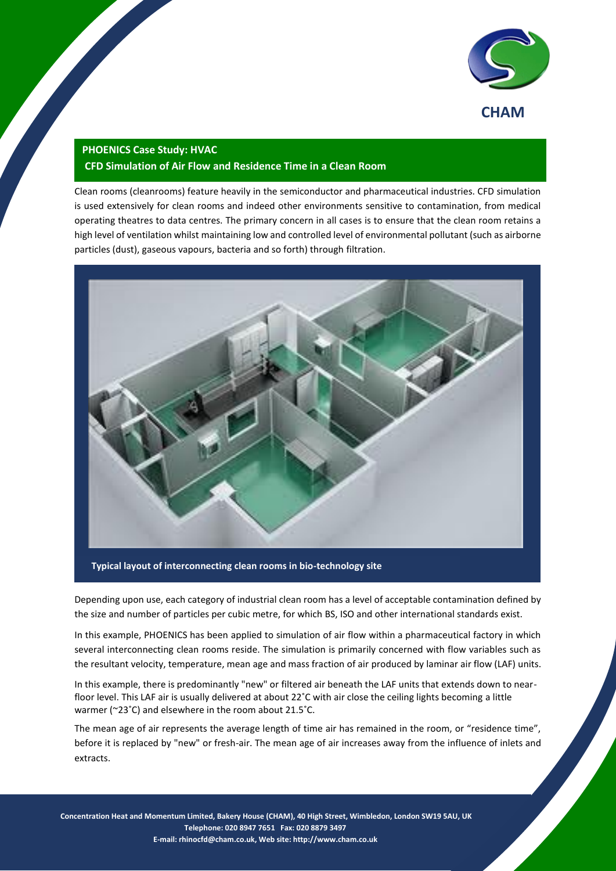

## **PHOENICS Case Study: HVAC**

## **CFD Simulation of Air Flow and Residence Time in a Clean Room**

Clean rooms (cleanrooms) feature heavily in the semiconductor and pharmaceutical industries. CFD simulation is used extensively for clean rooms and indeed other environments sensitive to contamination, from medical operating theatres to data centres. The primary concern in all cases is to ensure that the clean room retains a high level of ventilation whilst maintaining low and controlled level of environmental pollutant (such as airborne particles (dust), gaseous vapours, bacteria and so forth) through filtration.



Depending upon use, each category of industrial clean room has a level of acceptable contamination defined by

the size and number of particles per cubic metre, for which BS, ISO and other international standards exist.

In this example, PHOENICS has been applied to simulation of air flow within a pharmaceutical factory in which several interconnecting clean rooms reside. The simulation is primarily concerned with flow variables such as the resultant velocity, temperature, mean age and mass fraction of air produced by laminar air flow (LAF) units.

In this example, there is predominantly "new" or filtered air beneath the LAF units that extends down to nearfloor level. This LAF air is usually delivered at about 22˚C with air close the ceiling lights becoming a little warmer (~23˚C) and elsewhere in the room about 21.5˚C.

The mean age of air represents the average length of time air has remained in the room, or "residence time", before it is replaced by "new" or fresh-air. The mean age of air increases away from the influence of inlets and extracts.

**Concentration Heat and Momentum Limited, Bakery House (CHAM), 40 High Street, Wimbledon, London SW19 5AU, UK** 1 **Telephone: 020 8947 7651 Fax: 020 8879 3497 E-mail[: rhinocfd@cham.co.uk,](mailto:rhinocfd@cham.co.uk) Web site[: http://www.cham.co.uk](http://www.cham.co.uk/)**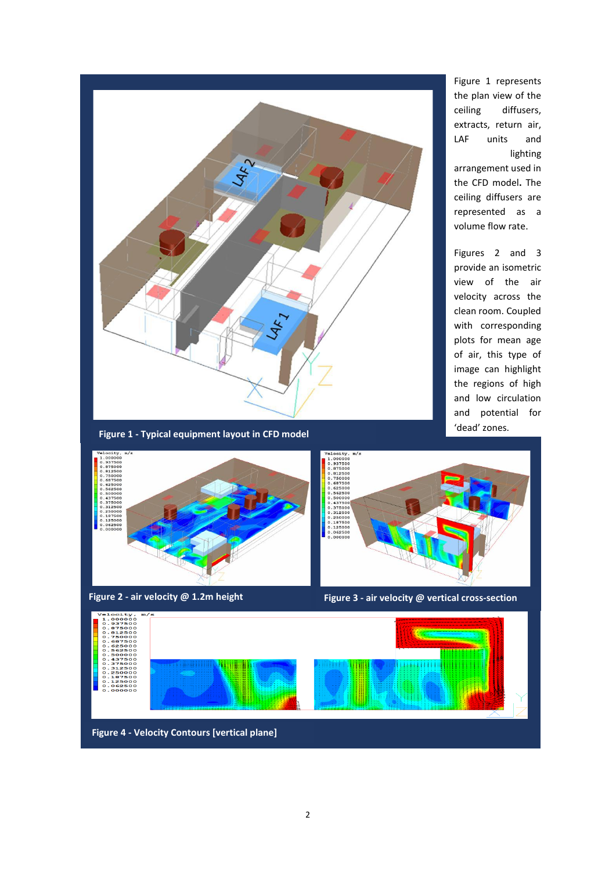

lighting

2